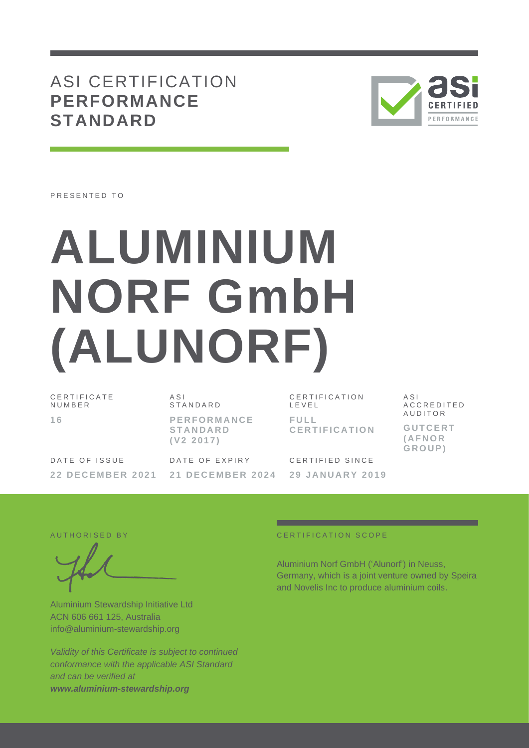# ASI CERTIFICATION **PERFORMANCE STANDARD**



PRESENTED TO

# **ALUMINIUM NORF GmbH (ALUNORF)**

C E R T I F I C A T E N U M B E R **1 6**

A S I S T A N D A R D **P E R F O R M A N C E S T A N D A R D ( V 2 2 0 1 7 )**

C E R T I F I C A T I O N L E V E L **F U L L C E R T I F I C A T I O N** A S I A C C R E D I T E D **AUDITOR G U T C E R T ( A F N O R G R O U P )**

DATE OF ISSUE **2 2 D E C E M B E R 2 0 2 1** DATE OF EXPIRY **2 1 D E C E M B E R 2 0 2 4** CERTIFIED SINCE **2 9 J A N U A R Y 2 0 1 9**

Aluminium Stewardship Initiative Ltd ACN 606 661 125, Australia [info@aluminium-stewardship.org](mailto:info@aluminium-stewardship.org)

*Validity of this Certificate is subject to continued conformance with the applicable ASI Standard and can be verified at [www.aluminium-stewardship.org](http://www.aluminium-stewardship.org/)*

#### A UT HORISED BY CERTIFICATION SCOPE

Aluminium Norf GmbH ('Alunorf') in Neuss, Germany, which is a joint venture owned by Speira and Novelis Inc to produce aluminium coils.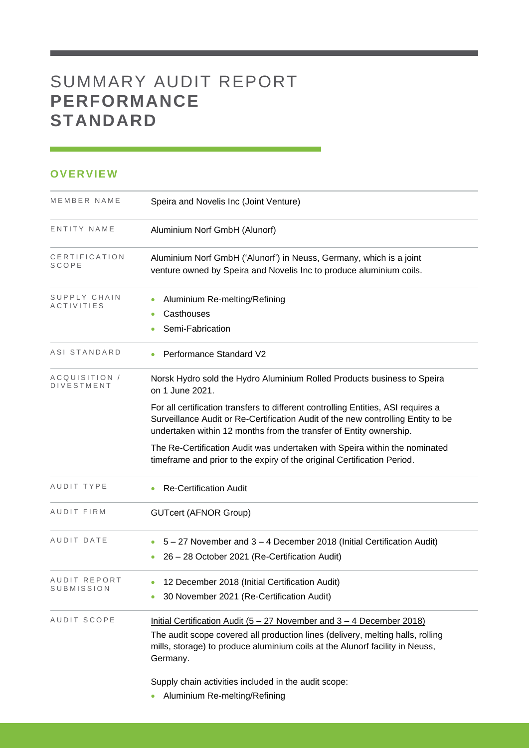# SUMMARY AUDIT REPORT **PERFORMANCE STANDARD**

## **OVERVIEW**

| MEMBER NAME                        | Speira and Novelis Inc (Joint Venture)                                                                                                                                                                                                              |
|------------------------------------|-----------------------------------------------------------------------------------------------------------------------------------------------------------------------------------------------------------------------------------------------------|
| ENTITY NAME                        | Aluminium Norf GmbH (Alunorf)                                                                                                                                                                                                                       |
| CERTIFICATION<br>SCOPE             | Aluminium Norf GmbH ('Alunorf') in Neuss, Germany, which is a joint<br>venture owned by Speira and Novelis Inc to produce aluminium coils.                                                                                                          |
| SUPPLY CHAIN<br>ACTIVITIES         | Aluminium Re-melting/Refining<br>Casthouses<br>۰<br>Semi-Fabrication                                                                                                                                                                                |
| ASI STANDARD                       | Performance Standard V2                                                                                                                                                                                                                             |
| ACQUISITION /<br><b>DIVESTMENT</b> | Norsk Hydro sold the Hydro Aluminium Rolled Products business to Speira<br>on 1 June 2021.                                                                                                                                                          |
|                                    | For all certification transfers to different controlling Entities, ASI requires a<br>Surveillance Audit or Re-Certification Audit of the new controlling Entity to be<br>undertaken within 12 months from the transfer of Entity ownership.         |
|                                    | The Re-Certification Audit was undertaken with Speira within the nominated<br>timeframe and prior to the expiry of the original Certification Period.                                                                                               |
| AUDIT TYPE                         | <b>Re-Certification Audit</b>                                                                                                                                                                                                                       |
| AUDIT FIRM                         | <b>GUTcert (AFNOR Group)</b>                                                                                                                                                                                                                        |
| AUDIT DATE                         | 5 - 27 November and 3 - 4 December 2018 (Initial Certification Audit)<br>26 - 28 October 2021 (Re-Certification Audit)                                                                                                                              |
| AUDIT REPORT<br>SUBMISSION         | 12 December 2018 (Initial Certification Audit)<br>30 November 2021 (Re-Certification Audit)                                                                                                                                                         |
| AUDIT SCOPE                        | Initial Certification Audit (5 - 27 November and 3 - 4 December 2018)<br>The audit scope covered all production lines (delivery, melting halls, rolling<br>mills, storage) to produce aluminium coils at the Alunorf facility in Neuss,<br>Germany. |
|                                    | Supply chain activities included in the audit scope:                                                                                                                                                                                                |

• Aluminium Re-melting/Refining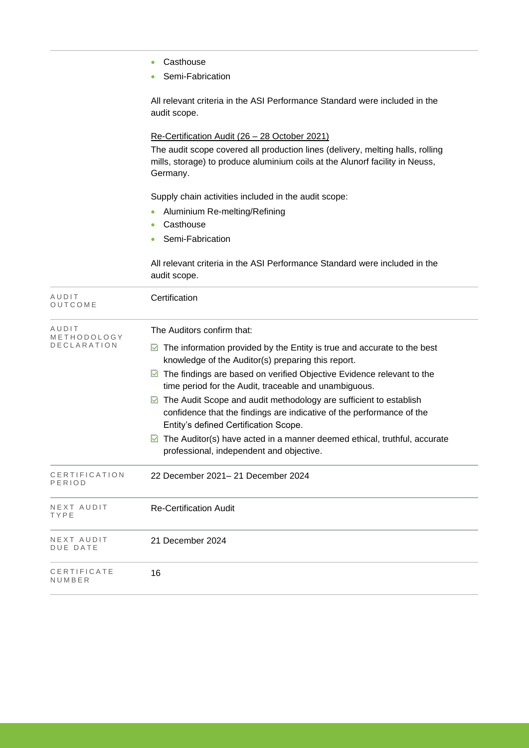|                         | Casthouse                                                                                                                                                                                |
|-------------------------|------------------------------------------------------------------------------------------------------------------------------------------------------------------------------------------|
|                         | Semi-Fabrication                                                                                                                                                                         |
|                         | All relevant criteria in the ASI Performance Standard were included in the<br>audit scope.                                                                                               |
|                         | Re-Certification Audit (26 - 28 October 2021)                                                                                                                                            |
|                         | The audit scope covered all production lines (delivery, melting halls, rolling<br>mills, storage) to produce aluminium coils at the Alunorf facility in Neuss,<br>Germany.               |
|                         | Supply chain activities included in the audit scope:                                                                                                                                     |
|                         | Aluminium Re-melting/Refining                                                                                                                                                            |
|                         | Casthouse<br>Semi-Fabrication                                                                                                                                                            |
|                         |                                                                                                                                                                                          |
|                         | All relevant criteria in the ASI Performance Standard were included in the<br>audit scope.                                                                                               |
| AUDIT<br>OUTCOME        | Certification                                                                                                                                                                            |
| AUDIT<br>METHODOLOGY    | The Auditors confirm that:                                                                                                                                                               |
| DECLARATION             | The information provided by the Entity is true and accurate to the best<br>M<br>knowledge of the Auditor(s) preparing this report.                                                       |
|                         | The findings are based on verified Objective Evidence relevant to the<br>⊻<br>time period for the Audit, traceable and unambiguous.                                                      |
|                         | The Audit Scope and audit methodology are sufficient to establish<br>M<br>confidence that the findings are indicative of the performance of the<br>Entity's defined Certification Scope. |
|                         | The Auditor(s) have acted in a manner deemed ethical, truthful, accurate<br>M<br>professional, independent and objective.                                                                |
| CERTIFICATION<br>PERIOD | 22 December 2021-21 December 2024                                                                                                                                                        |
| NEXT AUDIT<br>TYPE      | <b>Re-Certification Audit</b>                                                                                                                                                            |
| NEXT AUDIT<br>DUE DATE  | 21 December 2024                                                                                                                                                                         |

C E R T I F I C A T E N U M B E R

16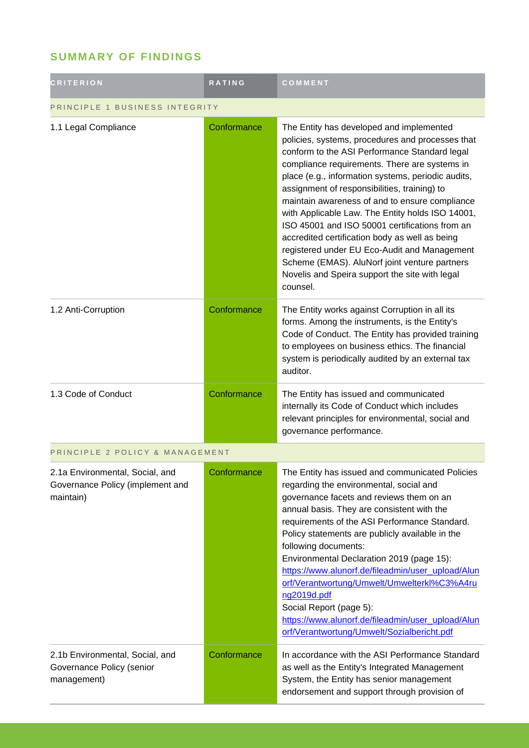# **SUMMARY OF FINDINGS**

| <b>CRITERION</b>                                                                 | RATING      | COMMENT                                                                                                                                                                                                                                                                                                                                                                                                                                                                                                                                                                                                                                                                       |  |
|----------------------------------------------------------------------------------|-------------|-------------------------------------------------------------------------------------------------------------------------------------------------------------------------------------------------------------------------------------------------------------------------------------------------------------------------------------------------------------------------------------------------------------------------------------------------------------------------------------------------------------------------------------------------------------------------------------------------------------------------------------------------------------------------------|--|
| PRINCIPLE 1 BUSINESS INTEGRITY                                                   |             |                                                                                                                                                                                                                                                                                                                                                                                                                                                                                                                                                                                                                                                                               |  |
| 1.1 Legal Compliance                                                             | Conformance | The Entity has developed and implemented<br>policies, systems, procedures and processes that<br>conform to the ASI Performance Standard legal<br>compliance requirements. There are systems in<br>place (e.g., information systems, periodic audits,<br>assignment of responsibilities, training) to<br>maintain awareness of and to ensure compliance<br>with Applicable Law. The Entity holds ISO 14001,<br>ISO 45001 and ISO 50001 certifications from an<br>accredited certification body as well as being<br>registered under EU Eco-Audit and Management<br>Scheme (EMAS). AluNorf joint venture partners<br>Novelis and Speira support the site with legal<br>counsel. |  |
| 1.2 Anti-Corruption                                                              | Conformance | The Entity works against Corruption in all its<br>forms. Among the instruments, is the Entity's<br>Code of Conduct. The Entity has provided training<br>to employees on business ethics. The financial<br>system is periodically audited by an external tax<br>auditor.                                                                                                                                                                                                                                                                                                                                                                                                       |  |
| 1.3 Code of Conduct                                                              | Conformance | The Entity has issued and communicated<br>internally its Code of Conduct which includes<br>relevant principles for environmental, social and<br>governance performance.                                                                                                                                                                                                                                                                                                                                                                                                                                                                                                       |  |
| PRINCIPLE 2 POLICY & MANAGEMENT                                                  |             |                                                                                                                                                                                                                                                                                                                                                                                                                                                                                                                                                                                                                                                                               |  |
| 2.1a Environmental, Social, and<br>Governance Policy (implement and<br>maintain) | Conformance | The Entity has issued and communicated Policies<br>regarding the environmental, social and<br>governance facets and reviews them on an<br>annual basis. They are consistent with the<br>requirements of the ASI Performance Standard.<br>Policy statements are publicly available in the<br>following documents:<br>Environmental Declaration 2019 (page 15):<br>https://www.alunorf.de/fileadmin/user_upload/Alun<br>orf/Verantwortung/Umwelt/Umwelterkl%C3%A4ru<br>ng2019d.pdf<br>Social Report (page 5):<br>https://www.alunorf.de/fileadmin/user_upload/Alun<br>orf/Verantwortung/Umwelt/Sozialbericht.pdf                                                                |  |
| 2.1b Environmental, Social, and<br>Governance Policy (senior<br>management)      | Conformance | In accordance with the ASI Performance Standard<br>as well as the Entity's Integrated Management<br>System, the Entity has senior management<br>endorsement and support through provision of                                                                                                                                                                                                                                                                                                                                                                                                                                                                                  |  |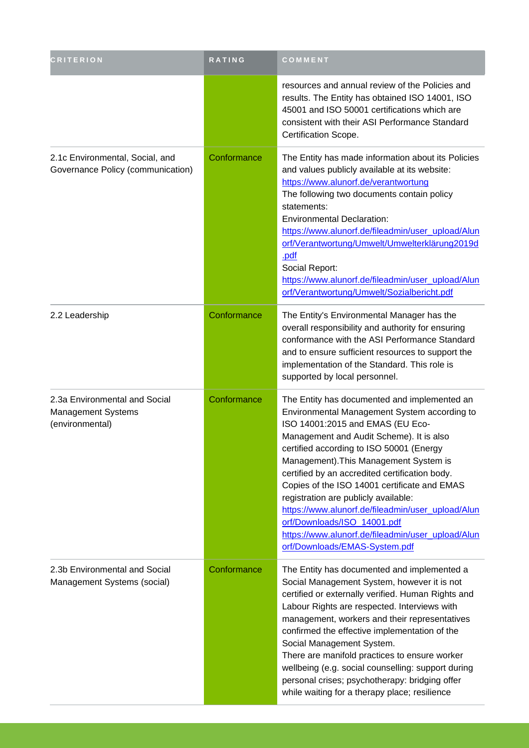| <b>CRITERION</b>                                                       | RATING      | COMMENT                                                                                                                                                                                                                                                                                                                                                                                                                                                                                                                                                                                |
|------------------------------------------------------------------------|-------------|----------------------------------------------------------------------------------------------------------------------------------------------------------------------------------------------------------------------------------------------------------------------------------------------------------------------------------------------------------------------------------------------------------------------------------------------------------------------------------------------------------------------------------------------------------------------------------------|
|                                                                        |             | resources and annual review of the Policies and<br>results. The Entity has obtained ISO 14001, ISO<br>45001 and ISO 50001 certifications which are<br>consistent with their ASI Performance Standard<br>Certification Scope.                                                                                                                                                                                                                                                                                                                                                           |
| 2.1c Environmental, Social, and<br>Governance Policy (communication)   | Conformance | The Entity has made information about its Policies<br>and values publicly available at its website:<br>https://www.alunorf.de/verantwortung<br>The following two documents contain policy<br>statements:<br><b>Environmental Declaration:</b><br>https://www.alunorf.de/fileadmin/user_upload/Alun<br>orf/Verantwortung/Umwelt/Umwelterklärung2019d<br>.pdf<br>Social Report:<br>https://www.alunorf.de/fileadmin/user_upload/Alun<br>orf/Verantwortung/Umwelt/Sozialbericht.pdf                                                                                                       |
| 2.2 Leadership                                                         | Conformance | The Entity's Environmental Manager has the<br>overall responsibility and authority for ensuring<br>conformance with the ASI Performance Standard<br>and to ensure sufficient resources to support the<br>implementation of the Standard. This role is<br>supported by local personnel.                                                                                                                                                                                                                                                                                                 |
| 2.3a Environmental and Social<br>Management Systems<br>(environmental) | Conformance | The Entity has documented and implemented an<br>Environmental Management System according to<br>ISO 14001:2015 and EMAS (EU Eco-<br>Management and Audit Scheme). It is also<br>certified according to ISO 50001 (Energy<br>Management). This Management System is<br>certified by an accredited certification body.<br>Copies of the ISO 14001 certificate and EMAS<br>registration are publicly available:<br>https://www.alunorf.de/fileadmin/user_upload/Alun<br>orf/Downloads/ISO 14001.pdf<br>https://www.alunorf.de/fileadmin/user_upload/Alun<br>orf/Downloads/EMAS-System.pdf |
| 2.3b Environmental and Social<br>Management Systems (social)           | Conformance | The Entity has documented and implemented a<br>Social Management System, however it is not<br>certified or externally verified. Human Rights and<br>Labour Rights are respected. Interviews with<br>management, workers and their representatives<br>confirmed the effective implementation of the<br>Social Management System.<br>There are manifold practices to ensure worker<br>wellbeing (e.g. social counselling: support during<br>personal crises; psychotherapy: bridging offer<br>while waiting for a therapy place; resilience                                              |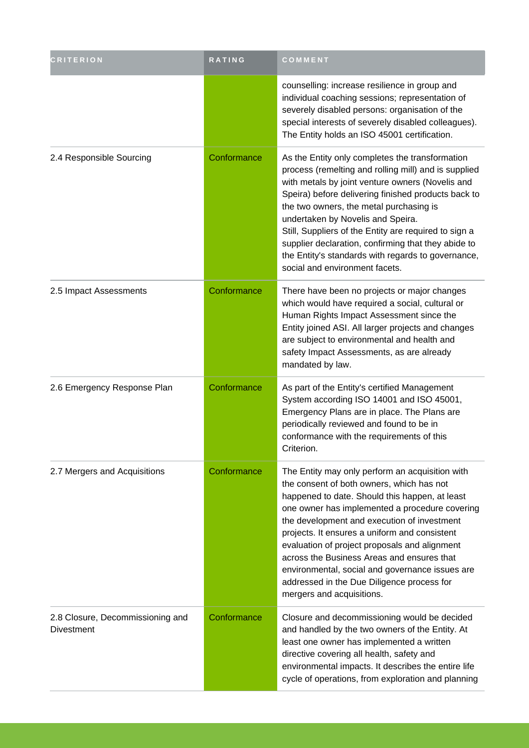| <b>CRITERION</b>                                      | RATING      | COMMENT                                                                                                                                                                                                                                                                                                                                                                                                                                                                                                                       |
|-------------------------------------------------------|-------------|-------------------------------------------------------------------------------------------------------------------------------------------------------------------------------------------------------------------------------------------------------------------------------------------------------------------------------------------------------------------------------------------------------------------------------------------------------------------------------------------------------------------------------|
|                                                       |             | counselling: increase resilience in group and<br>individual coaching sessions; representation of<br>severely disabled persons: organisation of the<br>special interests of severely disabled colleagues).<br>The Entity holds an ISO 45001 certification.                                                                                                                                                                                                                                                                     |
| 2.4 Responsible Sourcing                              | Conformance | As the Entity only completes the transformation<br>process (remelting and rolling mill) and is supplied<br>with metals by joint venture owners (Novelis and<br>Speira) before delivering finished products back to<br>the two owners, the metal purchasing is<br>undertaken by Novelis and Speira.<br>Still, Suppliers of the Entity are required to sign a<br>supplier declaration, confirming that they abide to<br>the Entity's standards with regards to governance,<br>social and environment facets.                    |
| 2.5 Impact Assessments                                | Conformance | There have been no projects or major changes<br>which would have required a social, cultural or<br>Human Rights Impact Assessment since the<br>Entity joined ASI. All larger projects and changes<br>are subject to environmental and health and<br>safety Impact Assessments, as are already<br>mandated by law.                                                                                                                                                                                                             |
| 2.6 Emergency Response Plan                           | Conformance | As part of the Entity's certified Management<br>System according ISO 14001 and ISO 45001,<br>Emergency Plans are in place. The Plans are<br>periodically reviewed and found to be in<br>conformance with the requirements of this<br>Criterion.                                                                                                                                                                                                                                                                               |
| 2.7 Mergers and Acquisitions                          | Conformance | The Entity may only perform an acquisition with<br>the consent of both owners, which has not<br>happened to date. Should this happen, at least<br>one owner has implemented a procedure covering<br>the development and execution of investment<br>projects. It ensures a uniform and consistent<br>evaluation of project proposals and alignment<br>across the Business Areas and ensures that<br>environmental, social and governance issues are<br>addressed in the Due Diligence process for<br>mergers and acquisitions. |
| 2.8 Closure, Decommissioning and<br><b>Divestment</b> | Conformance | Closure and decommissioning would be decided<br>and handled by the two owners of the Entity. At<br>least one owner has implemented a written<br>directive covering all health, safety and<br>environmental impacts. It describes the entire life<br>cycle of operations, from exploration and planning                                                                                                                                                                                                                        |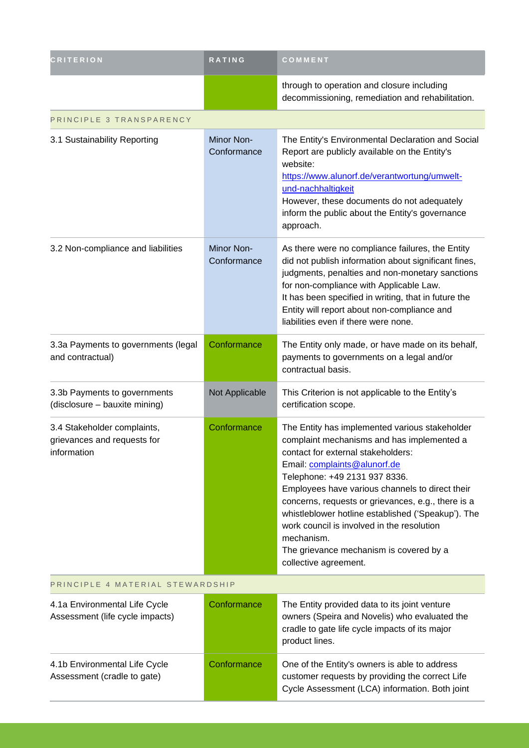| <b>CRITERION</b>                                                          | <b>RATING</b>             | COMMENT                                                                                                                                                                                                                                                                                                                                                                                                                                                                                            |  |
|---------------------------------------------------------------------------|---------------------------|----------------------------------------------------------------------------------------------------------------------------------------------------------------------------------------------------------------------------------------------------------------------------------------------------------------------------------------------------------------------------------------------------------------------------------------------------------------------------------------------------|--|
|                                                                           |                           | through to operation and closure including<br>decommissioning, remediation and rehabilitation.                                                                                                                                                                                                                                                                                                                                                                                                     |  |
| PRINCIPLE 3 TRANSPARENCY                                                  |                           |                                                                                                                                                                                                                                                                                                                                                                                                                                                                                                    |  |
| 3.1 Sustainability Reporting                                              | Minor Non-<br>Conformance | The Entity's Environmental Declaration and Social<br>Report are publicly available on the Entity's<br>website:<br>https://www.alunorf.de/verantwortung/umwelt-<br>und-nachhaltigkeit<br>However, these documents do not adequately<br>inform the public about the Entity's governance<br>approach.                                                                                                                                                                                                 |  |
| 3.2 Non-compliance and liabilities                                        | Minor Non-<br>Conformance | As there were no compliance failures, the Entity<br>did not publish information about significant fines,<br>judgments, penalties and non-monetary sanctions<br>for non-compliance with Applicable Law.<br>It has been specified in writing, that in future the<br>Entity will report about non-compliance and<br>liabilities even if there were none.                                                                                                                                              |  |
| 3.3a Payments to governments (legal<br>and contractual)                   | Conformance               | The Entity only made, or have made on its behalf,<br>payments to governments on a legal and/or<br>contractual basis.                                                                                                                                                                                                                                                                                                                                                                               |  |
| 3.3b Payments to governments<br>(disclosure - bauxite mining)             | Not Applicable            | This Criterion is not applicable to the Entity's<br>certification scope.                                                                                                                                                                                                                                                                                                                                                                                                                           |  |
| 3.4 Stakeholder complaints,<br>grievances and requests for<br>information | Conformance               | The Entity has implemented various stakeholder<br>complaint mechanisms and has implemented a<br>contact for external stakeholders:<br>Email: complaints@alunorf.de<br>Telephone: +49 2131 937 8336.<br>Employees have various channels to direct their<br>concerns, requests or grievances, e.g., there is a<br>whistleblower hotline established ('Speakup'). The<br>work council is involved in the resolution<br>mechanism.<br>The grievance mechanism is covered by a<br>collective agreement. |  |
| PRINCIPLE 4 MATERIAL STEWARDSHIP                                          |                           |                                                                                                                                                                                                                                                                                                                                                                                                                                                                                                    |  |
| 4.1a Environmental Life Cycle<br>Assessment (life cycle impacts)          | Conformance               | The Entity provided data to its joint venture<br>owners (Speira and Novelis) who evaluated the<br>cradle to gate life cycle impacts of its major<br>product lines.                                                                                                                                                                                                                                                                                                                                 |  |
| 4.1b Environmental Life Cycle<br>Assessment (cradle to gate)              | Conformance               | One of the Entity's owners is able to address<br>customer requests by providing the correct Life<br>Cycle Assessment (LCA) information. Both joint                                                                                                                                                                                                                                                                                                                                                 |  |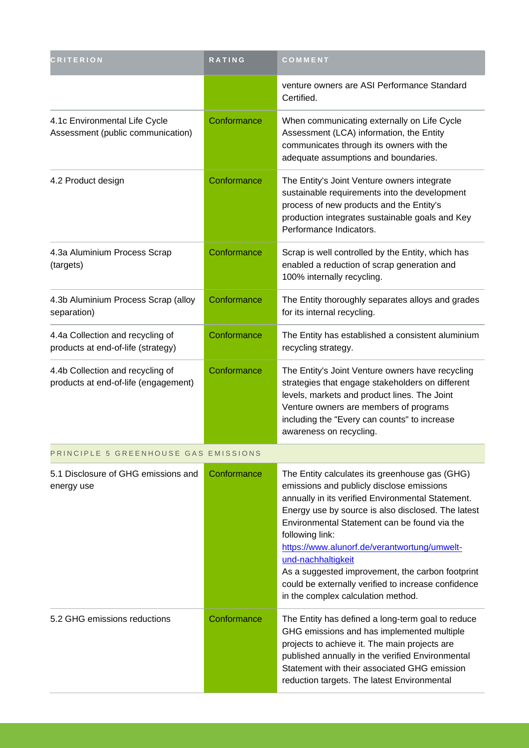| <b>CRITERION</b>                                                         | <b>RATING</b> | COMMENT                                                                                                                                                                                                                                                                                                                                                                                                                                                                                          |
|--------------------------------------------------------------------------|---------------|--------------------------------------------------------------------------------------------------------------------------------------------------------------------------------------------------------------------------------------------------------------------------------------------------------------------------------------------------------------------------------------------------------------------------------------------------------------------------------------------------|
|                                                                          |               | venture owners are ASI Performance Standard<br>Certified.                                                                                                                                                                                                                                                                                                                                                                                                                                        |
| 4.1c Environmental Life Cycle<br>Assessment (public communication)       | Conformance   | When communicating externally on Life Cycle<br>Assessment (LCA) information, the Entity<br>communicates through its owners with the<br>adequate assumptions and boundaries.                                                                                                                                                                                                                                                                                                                      |
| 4.2 Product design                                                       | Conformance   | The Entity's Joint Venture owners integrate<br>sustainable requirements into the development<br>process of new products and the Entity's<br>production integrates sustainable goals and Key<br>Performance Indicators.                                                                                                                                                                                                                                                                           |
| 4.3a Aluminium Process Scrap<br>(targets)                                | Conformance   | Scrap is well controlled by the Entity, which has<br>enabled a reduction of scrap generation and<br>100% internally recycling.                                                                                                                                                                                                                                                                                                                                                                   |
| 4.3b Aluminium Process Scrap (alloy<br>separation)                       | Conformance   | The Entity thoroughly separates alloys and grades<br>for its internal recycling.                                                                                                                                                                                                                                                                                                                                                                                                                 |
| 4.4a Collection and recycling of<br>products at end-of-life (strategy)   | Conformance   | The Entity has established a consistent aluminium<br>recycling strategy.                                                                                                                                                                                                                                                                                                                                                                                                                         |
| 4.4b Collection and recycling of<br>products at end-of-life (engagement) | Conformance   | The Entity's Joint Venture owners have recycling<br>strategies that engage stakeholders on different<br>levels, markets and product lines. The Joint<br>Venture owners are members of programs<br>including the "Every can counts" to increase<br>awareness on recycling.                                                                                                                                                                                                                        |
| PRINCIPLE 5 GREENHOUSE GAS EMISSIONS                                     |               |                                                                                                                                                                                                                                                                                                                                                                                                                                                                                                  |
| 5.1 Disclosure of GHG emissions and<br>energy use                        | Conformance   | The Entity calculates its greenhouse gas (GHG)<br>emissions and publicly disclose emissions<br>annually in its verified Environmental Statement.<br>Energy use by source is also disclosed. The latest<br>Environmental Statement can be found via the<br>following link:<br>https://www.alunorf.de/verantwortung/umwelt-<br>und-nachhaltigkeit<br>As a suggested improvement, the carbon footprint<br>could be externally verified to increase confidence<br>in the complex calculation method. |
| 5.2 GHG emissions reductions                                             | Conformance   | The Entity has defined a long-term goal to reduce<br>GHG emissions and has implemented multiple<br>projects to achieve it. The main projects are<br>published annually in the verified Environmental<br>Statement with their associated GHG emission<br>reduction targets. The latest Environmental                                                                                                                                                                                              |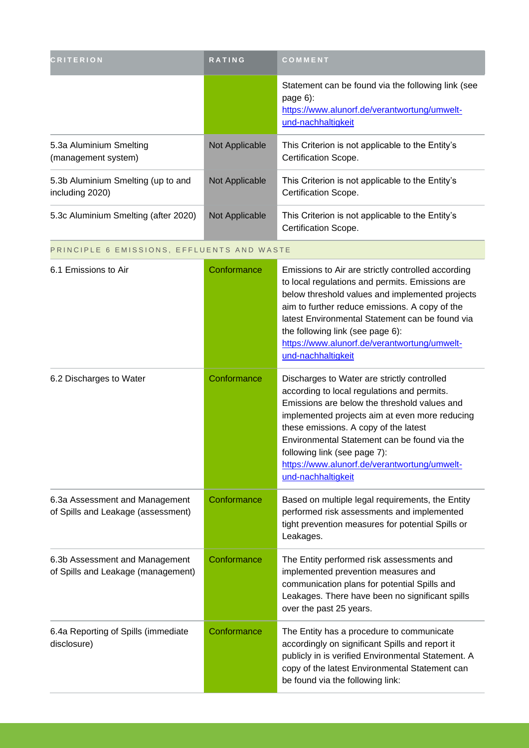| <b>CRITERION</b>                                      | <b>RATING</b>  | <b>COMMENT</b>                                                                                                                         |
|-------------------------------------------------------|----------------|----------------------------------------------------------------------------------------------------------------------------------------|
|                                                       |                | Statement can be found via the following link (see<br>page $6$ :<br>https://www.alunorf.de/verantwortung/umwelt-<br>und-nachhaltigkeit |
| 5.3a Aluminium Smelting<br>(management system)        | Not Applicable | This Criterion is not applicable to the Entity's<br>Certification Scope.                                                               |
| 5.3b Aluminium Smelting (up to and<br>including 2020) | Not Applicable | This Criterion is not applicable to the Entity's<br>Certification Scope.                                                               |
| 5.3c Aluminium Smelting (after 2020)                  | Not Applicable | This Criterion is not applicable to the Entity's<br>Certification Scope.                                                               |

PRINCIPLE 6 EMISSIONS, EFFLUENTS AND WASTE

| 6.1 Emissions to Air                                                 | Conformance | Emissions to Air are strictly controlled according<br>to local regulations and permits. Emissions are<br>below threshold values and implemented projects<br>aim to further reduce emissions. A copy of the<br>latest Environmental Statement can be found via<br>the following link (see page 6):<br>https://www.alunorf.de/verantwortung/umwelt-<br>und-nachhaltigkeit                     |
|----------------------------------------------------------------------|-------------|---------------------------------------------------------------------------------------------------------------------------------------------------------------------------------------------------------------------------------------------------------------------------------------------------------------------------------------------------------------------------------------------|
| 6.2 Discharges to Water                                              | Conformance | Discharges to Water are strictly controlled<br>according to local regulations and permits.<br>Emissions are below the threshold values and<br>implemented projects aim at even more reducing<br>these emissions. A copy of the latest<br>Environmental Statement can be found via the<br>following link (see page 7):<br>https://www.alunorf.de/verantwortung/umwelt-<br>und-nachhaltigkeit |
| 6.3a Assessment and Management<br>of Spills and Leakage (assessment) | Conformance | Based on multiple legal requirements, the Entity<br>performed risk assessments and implemented<br>tight prevention measures for potential Spills or<br>Leakages.                                                                                                                                                                                                                            |
| 6.3b Assessment and Management<br>of Spills and Leakage (management) | Conformance | The Entity performed risk assessments and<br>implemented prevention measures and<br>communication plans for potential Spills and<br>Leakages. There have been no significant spills<br>over the past 25 years.                                                                                                                                                                              |
| 6.4a Reporting of Spills (immediate<br>disclosure)                   | Conformance | The Entity has a procedure to communicate<br>accordingly on significant Spills and report it<br>publicly in is verified Environmental Statement. A<br>copy of the latest Environmental Statement can<br>be found via the following link:                                                                                                                                                    |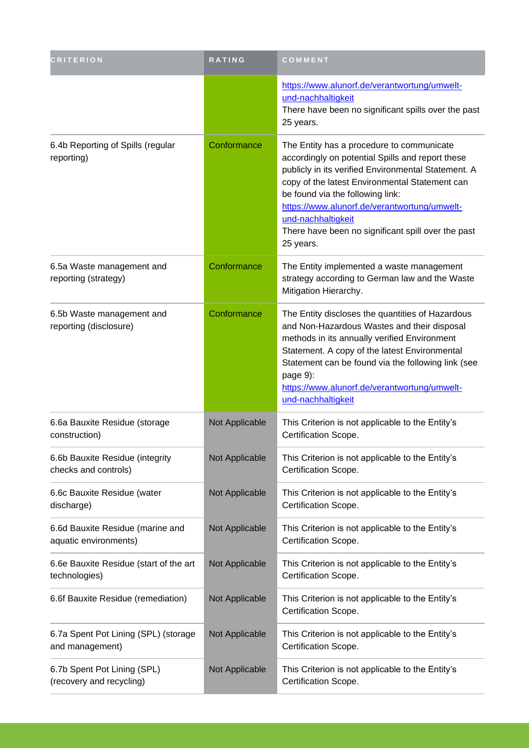| <b>CRITERION</b>                                          | <b>RATING</b>  | COMMENT                                                                                                                                                                                                                                                                                                                                                                             |
|-----------------------------------------------------------|----------------|-------------------------------------------------------------------------------------------------------------------------------------------------------------------------------------------------------------------------------------------------------------------------------------------------------------------------------------------------------------------------------------|
|                                                           |                | https://www.alunorf.de/verantwortung/umwelt-<br>und-nachhaltigkeit<br>There have been no significant spills over the past<br>25 years.                                                                                                                                                                                                                                              |
| 6.4b Reporting of Spills (regular<br>reporting)           | Conformance    | The Entity has a procedure to communicate<br>accordingly on potential Spills and report these<br>publicly in its verified Environmental Statement. A<br>copy of the latest Environmental Statement can<br>be found via the following link:<br>https://www.alunorf.de/verantwortung/umwelt-<br>und-nachhaltigkeit<br>There have been no significant spill over the past<br>25 years. |
| 6.5a Waste management and<br>reporting (strategy)         | Conformance    | The Entity implemented a waste management<br>strategy according to German law and the Waste<br>Mitigation Hierarchy.                                                                                                                                                                                                                                                                |
| 6.5b Waste management and<br>reporting (disclosure)       | Conformance    | The Entity discloses the quantities of Hazardous<br>and Non-Hazardous Wastes and their disposal<br>methods in its annually verified Environment<br>Statement. A copy of the latest Environmental<br>Statement can be found via the following link (see<br>page 9):<br>https://www.alunorf.de/verantwortung/umwelt-<br>und-nachhaltigkeit                                            |
| 6.6a Bauxite Residue (storage<br>construction)            | Not Applicable | This Criterion is not applicable to the Entity's<br>Certification Scope.                                                                                                                                                                                                                                                                                                            |
| 6.6b Bauxite Residue (integrity<br>checks and controls)   | Not Applicable | This Criterion is not applicable to the Entity's<br>Certification Scope.                                                                                                                                                                                                                                                                                                            |
| 6.6c Bauxite Residue (water<br>discharge)                 | Not Applicable | This Criterion is not applicable to the Entity's<br>Certification Scope.                                                                                                                                                                                                                                                                                                            |
| 6.6d Bauxite Residue (marine and<br>aquatic environments) | Not Applicable | This Criterion is not applicable to the Entity's<br>Certification Scope.                                                                                                                                                                                                                                                                                                            |
| 6.6e Bauxite Residue (start of the art<br>technologies)   | Not Applicable | This Criterion is not applicable to the Entity's<br>Certification Scope.                                                                                                                                                                                                                                                                                                            |
| 6.6f Bauxite Residue (remediation)                        | Not Applicable | This Criterion is not applicable to the Entity's<br>Certification Scope.                                                                                                                                                                                                                                                                                                            |
| 6.7a Spent Pot Lining (SPL) (storage<br>and management)   | Not Applicable | This Criterion is not applicable to the Entity's<br>Certification Scope.                                                                                                                                                                                                                                                                                                            |
| 6.7b Spent Pot Lining (SPL)<br>(recovery and recycling)   | Not Applicable | This Criterion is not applicable to the Entity's<br>Certification Scope.                                                                                                                                                                                                                                                                                                            |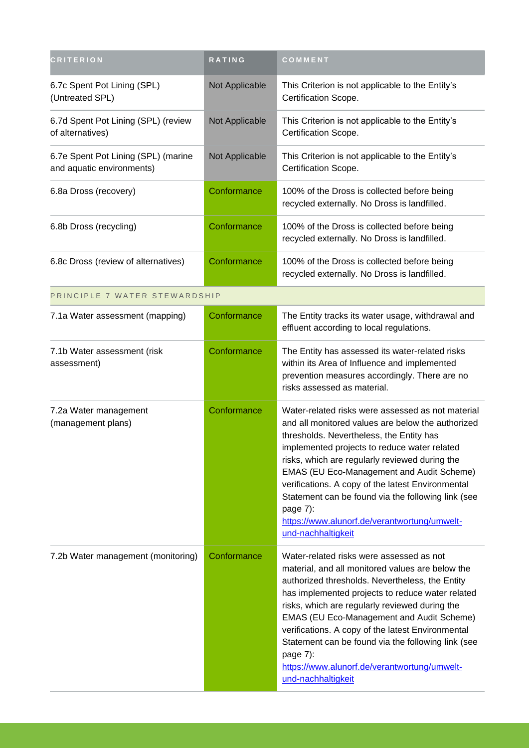| <b>CRITERION</b>                                                 | RATING         | COMMENT                                                                                                                                                                                                                                                                                                                                                                                                                                                                                                |
|------------------------------------------------------------------|----------------|--------------------------------------------------------------------------------------------------------------------------------------------------------------------------------------------------------------------------------------------------------------------------------------------------------------------------------------------------------------------------------------------------------------------------------------------------------------------------------------------------------|
| 6.7c Spent Pot Lining (SPL)<br>(Untreated SPL)                   | Not Applicable | This Criterion is not applicable to the Entity's<br>Certification Scope.                                                                                                                                                                                                                                                                                                                                                                                                                               |
| 6.7d Spent Pot Lining (SPL) (review<br>of alternatives)          | Not Applicable | This Criterion is not applicable to the Entity's<br>Certification Scope.                                                                                                                                                                                                                                                                                                                                                                                                                               |
| 6.7e Spent Pot Lining (SPL) (marine<br>and aquatic environments) | Not Applicable | This Criterion is not applicable to the Entity's<br>Certification Scope.                                                                                                                                                                                                                                                                                                                                                                                                                               |
| 6.8a Dross (recovery)                                            | Conformance    | 100% of the Dross is collected before being<br>recycled externally. No Dross is landfilled.                                                                                                                                                                                                                                                                                                                                                                                                            |
| 6.8b Dross (recycling)                                           | Conformance    | 100% of the Dross is collected before being<br>recycled externally. No Dross is landfilled.                                                                                                                                                                                                                                                                                                                                                                                                            |
| 6.8c Dross (review of alternatives)                              | Conformance    | 100% of the Dross is collected before being<br>recycled externally. No Dross is landfilled.                                                                                                                                                                                                                                                                                                                                                                                                            |
| PRINCIPLE 7 WATER STEWARDSHIP                                    |                |                                                                                                                                                                                                                                                                                                                                                                                                                                                                                                        |
| 7.1a Water assessment (mapping)                                  | Conformance    | The Entity tracks its water usage, withdrawal and<br>effluent according to local regulations.                                                                                                                                                                                                                                                                                                                                                                                                          |
| 7.1b Water assessment (risk<br>assessment)                       | Conformance    | The Entity has assessed its water-related risks<br>within its Area of Influence and implemented<br>prevention measures accordingly. There are no<br>risks assessed as material.                                                                                                                                                                                                                                                                                                                        |
| 7.2a Water management<br>(management plans)                      | Conformance    | Water-related risks were assessed as not material<br>and all monitored values are below the authorized<br>thresholds. Nevertheless, the Entity has<br>implemented projects to reduce water related<br>risks, which are regularly reviewed during the<br><b>EMAS (EU Eco-Management and Audit Scheme)</b><br>verifications. A copy of the latest Environmental<br>Statement can be found via the following link (see<br>page 7):<br>https://www.alunorf.de/verantwortung/umwelt-<br>und-nachhaltigkeit  |
| 7.2b Water management (monitoring)                               | Conformance    | Water-related risks were assessed as not<br>material, and all monitored values are below the<br>authorized thresholds. Nevertheless, the Entity<br>has implemented projects to reduce water related<br>risks, which are regularly reviewed during the<br><b>EMAS (EU Eco-Management and Audit Scheme)</b><br>verifications. A copy of the latest Environmental<br>Statement can be found via the following link (see<br>page 7):<br>https://www.alunorf.de/verantwortung/umwelt-<br>und-nachhaltigkeit |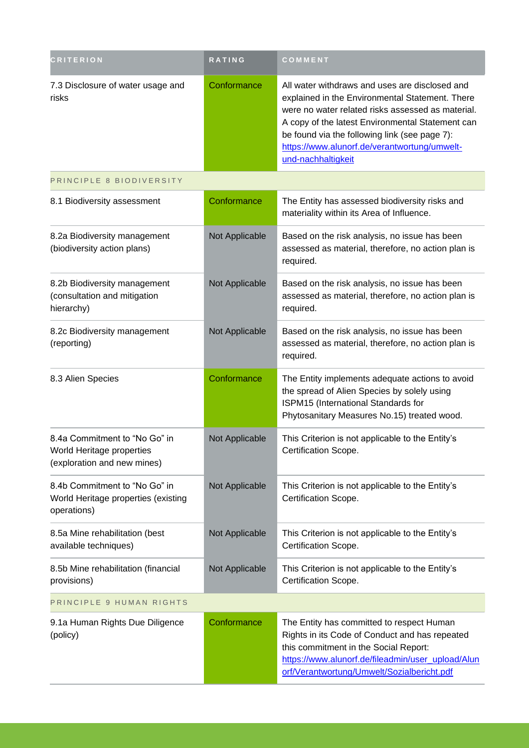| <b>CRITERION</b>                                                                          | RATING         | COMMENT                                                                                                                                                                                                                                                                                                                           |
|-------------------------------------------------------------------------------------------|----------------|-----------------------------------------------------------------------------------------------------------------------------------------------------------------------------------------------------------------------------------------------------------------------------------------------------------------------------------|
| 7.3 Disclosure of water usage and<br>risks                                                | Conformance    | All water withdraws and uses are disclosed and<br>explained in the Environmental Statement. There<br>were no water related risks assessed as material.<br>A copy of the latest Environmental Statement can<br>be found via the following link (see page 7):<br>https://www.alunorf.de/verantwortung/umwelt-<br>und-nachhaltigkeit |
| PRINCIPLE 8 BIODIVERSITY                                                                  |                |                                                                                                                                                                                                                                                                                                                                   |
| 8.1 Biodiversity assessment                                                               | Conformance    | The Entity has assessed biodiversity risks and<br>materiality within its Area of Influence.                                                                                                                                                                                                                                       |
| 8.2a Biodiversity management<br>(biodiversity action plans)                               | Not Applicable | Based on the risk analysis, no issue has been<br>assessed as material, therefore, no action plan is<br>required.                                                                                                                                                                                                                  |
| 8.2b Biodiversity management<br>(consultation and mitigation<br>hierarchy)                | Not Applicable | Based on the risk analysis, no issue has been<br>assessed as material, therefore, no action plan is<br>required.                                                                                                                                                                                                                  |
| 8.2c Biodiversity management<br>(reporting)                                               | Not Applicable | Based on the risk analysis, no issue has been<br>assessed as material, therefore, no action plan is<br>required.                                                                                                                                                                                                                  |
| 8.3 Alien Species                                                                         | Conformance    | The Entity implements adequate actions to avoid<br>the spread of Alien Species by solely using<br>ISPM15 (International Standards for<br>Phytosanitary Measures No.15) treated wood.                                                                                                                                              |
| 8.4a Commitment to "No Go" in<br>World Heritage properties<br>(exploration and new mines) | Not Applicable | This Criterion is not applicable to the Entity's<br>Certification Scope.                                                                                                                                                                                                                                                          |
| 8.4b Commitment to "No Go" in<br>World Heritage properties (existing<br>operations)       | Not Applicable | This Criterion is not applicable to the Entity's<br>Certification Scope.                                                                                                                                                                                                                                                          |
| 8.5a Mine rehabilitation (best<br>available techniques)                                   | Not Applicable | This Criterion is not applicable to the Entity's<br>Certification Scope.                                                                                                                                                                                                                                                          |
| 8.5b Mine rehabilitation (financial<br>provisions)                                        | Not Applicable | This Criterion is not applicable to the Entity's<br>Certification Scope.                                                                                                                                                                                                                                                          |
| PRINCIPLE 9 HUMAN RIGHTS                                                                  |                |                                                                                                                                                                                                                                                                                                                                   |
| 9.1a Human Rights Due Diligence<br>(policy)                                               | Conformance    | The Entity has committed to respect Human<br>Rights in its Code of Conduct and has repeated<br>this commitment in the Social Report:<br>https://www.alunorf.de/fileadmin/user_upload/Alun<br>orf/Verantwortung/Umwelt/Sozialbericht.pdf                                                                                           |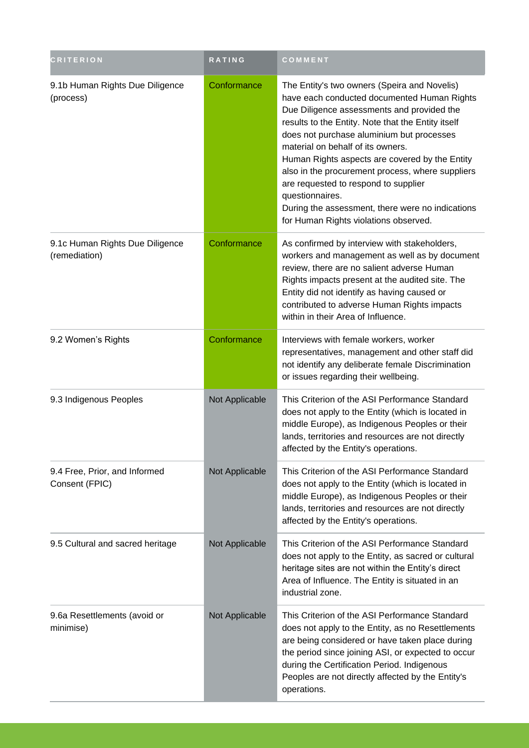| <b>CRITERION</b>                                 | RATING         | COMMENT                                                                                                                                                                                                                                                                                                                                                                                                                                                                                                                                         |
|--------------------------------------------------|----------------|-------------------------------------------------------------------------------------------------------------------------------------------------------------------------------------------------------------------------------------------------------------------------------------------------------------------------------------------------------------------------------------------------------------------------------------------------------------------------------------------------------------------------------------------------|
| 9.1b Human Rights Due Diligence<br>(process)     | Conformance    | The Entity's two owners (Speira and Novelis)<br>have each conducted documented Human Rights<br>Due Diligence assessments and provided the<br>results to the Entity. Note that the Entity itself<br>does not purchase aluminium but processes<br>material on behalf of its owners.<br>Human Rights aspects are covered by the Entity<br>also in the procurement process, where suppliers<br>are requested to respond to supplier<br>questionnaires.<br>During the assessment, there were no indications<br>for Human Rights violations observed. |
| 9.1c Human Rights Due Diligence<br>(remediation) | Conformance    | As confirmed by interview with stakeholders,<br>workers and management as well as by document<br>review, there are no salient adverse Human<br>Rights impacts present at the audited site. The<br>Entity did not identify as having caused or<br>contributed to adverse Human Rights impacts<br>within in their Area of Influence.                                                                                                                                                                                                              |
| 9.2 Women's Rights                               | Conformance    | Interviews with female workers, worker<br>representatives, management and other staff did<br>not identify any deliberate female Discrimination<br>or issues regarding their wellbeing.                                                                                                                                                                                                                                                                                                                                                          |
| 9.3 Indigenous Peoples                           | Not Applicable | This Criterion of the ASI Performance Standard<br>does not apply to the Entity (which is located in<br>middle Europe), as Indigenous Peoples or their<br>lands, territories and resources are not directly<br>affected by the Entity's operations.                                                                                                                                                                                                                                                                                              |
| 9.4 Free, Prior, and Informed<br>Consent (FPIC)  | Not Applicable | This Criterion of the ASI Performance Standard<br>does not apply to the Entity (which is located in<br>middle Europe), as Indigenous Peoples or their<br>lands, territories and resources are not directly<br>affected by the Entity's operations.                                                                                                                                                                                                                                                                                              |
| 9.5 Cultural and sacred heritage                 | Not Applicable | This Criterion of the ASI Performance Standard<br>does not apply to the Entity, as sacred or cultural<br>heritage sites are not within the Entity's direct<br>Area of Influence. The Entity is situated in an<br>industrial zone.                                                                                                                                                                                                                                                                                                               |
| 9.6a Resettlements (avoid or<br>minimise)        | Not Applicable | This Criterion of the ASI Performance Standard<br>does not apply to the Entity, as no Resettlements<br>are being considered or have taken place during<br>the period since joining ASI, or expected to occur<br>during the Certification Period. Indigenous<br>Peoples are not directly affected by the Entity's<br>operations.                                                                                                                                                                                                                 |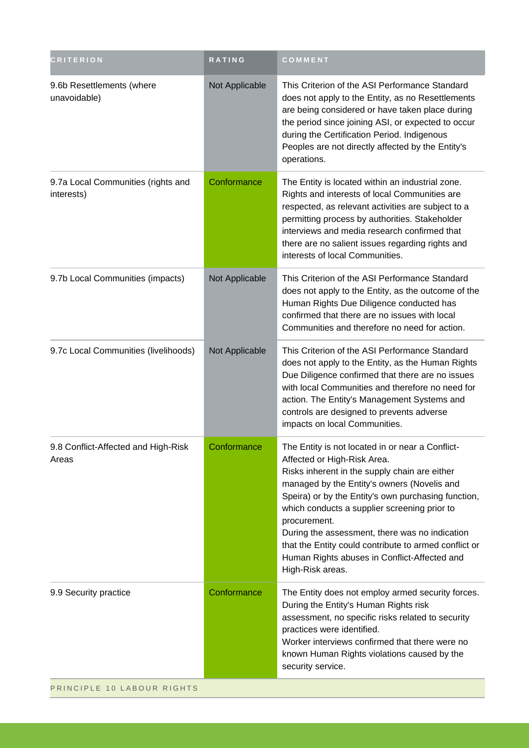| <b>CRITERION</b>                                 | RATING         | COMMENT                                                                                                                                                                                                                                                                                                                                                                                                                                                                               |
|--------------------------------------------------|----------------|---------------------------------------------------------------------------------------------------------------------------------------------------------------------------------------------------------------------------------------------------------------------------------------------------------------------------------------------------------------------------------------------------------------------------------------------------------------------------------------|
| 9.6b Resettlements (where<br>unavoidable)        | Not Applicable | This Criterion of the ASI Performance Standard<br>does not apply to the Entity, as no Resettlements<br>are being considered or have taken place during<br>the period since joining ASI, or expected to occur<br>during the Certification Period. Indigenous<br>Peoples are not directly affected by the Entity's<br>operations.                                                                                                                                                       |
| 9.7a Local Communities (rights and<br>interests) | Conformance    | The Entity is located within an industrial zone.<br>Rights and interests of local Communities are<br>respected, as relevant activities are subject to a<br>permitting process by authorities. Stakeholder<br>interviews and media research confirmed that<br>there are no salient issues regarding rights and<br>interests of local Communities.                                                                                                                                      |
| 9.7b Local Communities (impacts)                 | Not Applicable | This Criterion of the ASI Performance Standard<br>does not apply to the Entity, as the outcome of the<br>Human Rights Due Diligence conducted has<br>confirmed that there are no issues with local<br>Communities and therefore no need for action.                                                                                                                                                                                                                                   |
| 9.7c Local Communities (livelihoods)             | Not Applicable | This Criterion of the ASI Performance Standard<br>does not apply to the Entity, as the Human Rights<br>Due Diligence confirmed that there are no issues<br>with local Communities and therefore no need for<br>action. The Entity's Management Systems and<br>controls are designed to prevents adverse<br>impacts on local Communities.                                                                                                                                              |
| 9.8 Conflict-Affected and High-Risk<br>Areas     | Conformance    | The Entity is not located in or near a Conflict-<br>Affected or High-Risk Area.<br>Risks inherent in the supply chain are either<br>managed by the Entity's owners (Novelis and<br>Speira) or by the Entity's own purchasing function,<br>which conducts a supplier screening prior to<br>procurement.<br>During the assessment, there was no indication<br>that the Entity could contribute to armed conflict or<br>Human Rights abuses in Conflict-Affected and<br>High-Risk areas. |
| 9.9 Security practice                            | Conformance    | The Entity does not employ armed security forces.<br>During the Entity's Human Rights risk<br>assessment, no specific risks related to security<br>practices were identified.<br>Worker interviews confirmed that there were no<br>known Human Rights violations caused by the<br>security service.                                                                                                                                                                                   |
| PRINCIPLE 10 LABOUR RIGHTS                       |                |                                                                                                                                                                                                                                                                                                                                                                                                                                                                                       |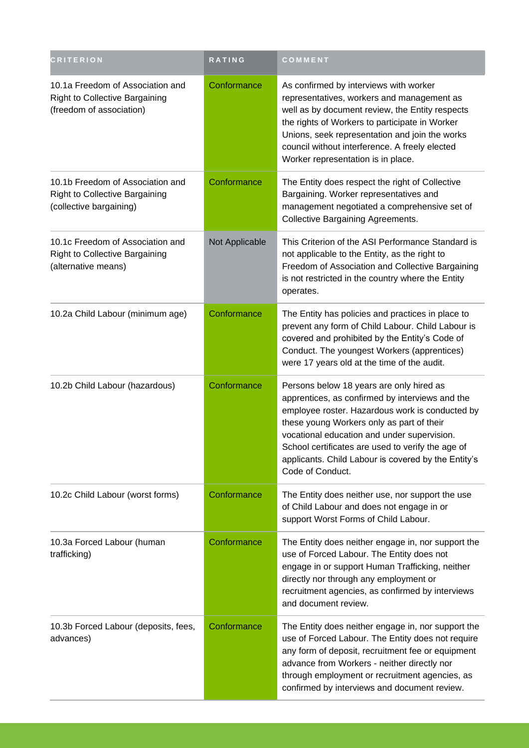| <b>CRITERION</b>                                                                                      | RATING         | COMMENT                                                                                                                                                                                                                                                                                                                                                                    |
|-------------------------------------------------------------------------------------------------------|----------------|----------------------------------------------------------------------------------------------------------------------------------------------------------------------------------------------------------------------------------------------------------------------------------------------------------------------------------------------------------------------------|
| 10.1a Freedom of Association and<br><b>Right to Collective Bargaining</b><br>(freedom of association) | Conformance    | As confirmed by interviews with worker<br>representatives, workers and management as<br>well as by document review, the Entity respects<br>the rights of Workers to participate in Worker<br>Unions, seek representation and join the works<br>council without interference. A freely elected<br>Worker representation is in place.                                        |
| 10.1b Freedom of Association and<br><b>Right to Collective Bargaining</b><br>(collective bargaining)  | Conformance    | The Entity does respect the right of Collective<br>Bargaining. Worker representatives and<br>management negotiated a comprehensive set of<br><b>Collective Bargaining Agreements.</b>                                                                                                                                                                                      |
| 10.1c Freedom of Association and<br><b>Right to Collective Bargaining</b><br>(alternative means)      | Not Applicable | This Criterion of the ASI Performance Standard is<br>not applicable to the Entity, as the right to<br>Freedom of Association and Collective Bargaining<br>is not restricted in the country where the Entity<br>operates.                                                                                                                                                   |
| 10.2a Child Labour (minimum age)                                                                      | Conformance    | The Entity has policies and practices in place to<br>prevent any form of Child Labour. Child Labour is<br>covered and prohibited by the Entity's Code of<br>Conduct. The youngest Workers (apprentices)<br>were 17 years old at the time of the audit.                                                                                                                     |
| 10.2b Child Labour (hazardous)                                                                        | Conformance    | Persons below 18 years are only hired as<br>apprentices, as confirmed by interviews and the<br>employee roster. Hazardous work is conducted by<br>these young Workers only as part of their<br>vocational education and under supervision.<br>School certificates are used to verify the age of<br>applicants. Child Labour is covered by the Entity's<br>Code of Conduct. |
| 10.2c Child Labour (worst forms)                                                                      | Conformance    | The Entity does neither use, nor support the use<br>of Child Labour and does not engage in or<br>support Worst Forms of Child Labour.                                                                                                                                                                                                                                      |
| 10.3a Forced Labour (human<br>trafficking)                                                            | Conformance    | The Entity does neither engage in, nor support the<br>use of Forced Labour. The Entity does not<br>engage in or support Human Trafficking, neither<br>directly nor through any employment or<br>recruitment agencies, as confirmed by interviews<br>and document review.                                                                                                   |
| 10.3b Forced Labour (deposits, fees,<br>advances)                                                     | Conformance    | The Entity does neither engage in, nor support the<br>use of Forced Labour. The Entity does not require<br>any form of deposit, recruitment fee or equipment<br>advance from Workers - neither directly nor<br>through employment or recruitment agencies, as<br>confirmed by interviews and document review.                                                              |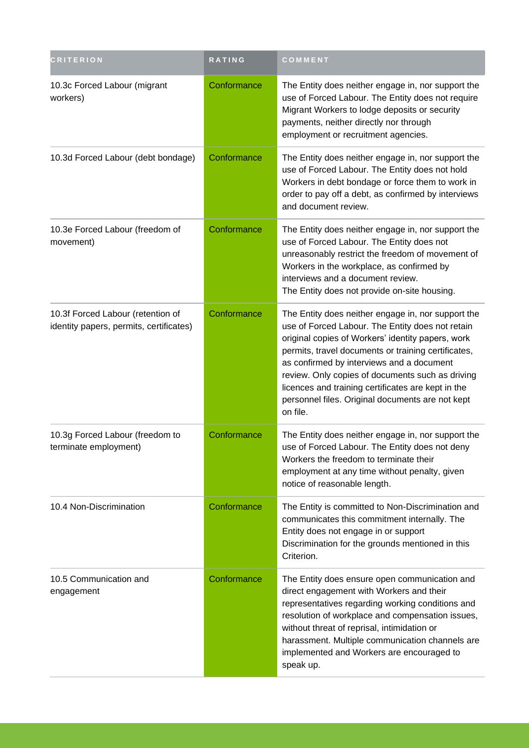| <b>CRITERION</b>                                                             | RATING      | COMMENT                                                                                                                                                                                                                                                                                                                                                                                                                                   |
|------------------------------------------------------------------------------|-------------|-------------------------------------------------------------------------------------------------------------------------------------------------------------------------------------------------------------------------------------------------------------------------------------------------------------------------------------------------------------------------------------------------------------------------------------------|
| 10.3c Forced Labour (migrant<br>workers)                                     | Conformance | The Entity does neither engage in, nor support the<br>use of Forced Labour. The Entity does not require<br>Migrant Workers to lodge deposits or security<br>payments, neither directly nor through<br>employment or recruitment agencies.                                                                                                                                                                                                 |
| 10.3d Forced Labour (debt bondage)                                           | Conformance | The Entity does neither engage in, nor support the<br>use of Forced Labour. The Entity does not hold<br>Workers in debt bondage or force them to work in<br>order to pay off a debt, as confirmed by interviews<br>and document review.                                                                                                                                                                                                   |
| 10.3e Forced Labour (freedom of<br>movement)                                 | Conformance | The Entity does neither engage in, nor support the<br>use of Forced Labour. The Entity does not<br>unreasonably restrict the freedom of movement of<br>Workers in the workplace, as confirmed by<br>interviews and a document review.<br>The Entity does not provide on-site housing.                                                                                                                                                     |
| 10.3f Forced Labour (retention of<br>identity papers, permits, certificates) | Conformance | The Entity does neither engage in, nor support the<br>use of Forced Labour. The Entity does not retain<br>original copies of Workers' identity papers, work<br>permits, travel documents or training certificates,<br>as confirmed by interviews and a document<br>review. Only copies of documents such as driving<br>licences and training certificates are kept in the<br>personnel files. Original documents are not kept<br>on file. |
| 10.3g Forced Labour (freedom to<br>terminate employment)                     | Conformance | The Entity does neither engage in, nor support the<br>use of Forced Labour. The Entity does not deny<br>Workers the freedom to terminate their<br>employment at any time without penalty, given<br>notice of reasonable length.                                                                                                                                                                                                           |
| 10.4 Non-Discrimination                                                      | Conformance | The Entity is committed to Non-Discrimination and<br>communicates this commitment internally. The<br>Entity does not engage in or support<br>Discrimination for the grounds mentioned in this<br>Criterion.                                                                                                                                                                                                                               |
| 10.5 Communication and<br>engagement                                         | Conformance | The Entity does ensure open communication and<br>direct engagement with Workers and their<br>representatives regarding working conditions and<br>resolution of workplace and compensation issues,<br>without threat of reprisal, intimidation or<br>harassment. Multiple communication channels are<br>implemented and Workers are encouraged to<br>speak up.                                                                             |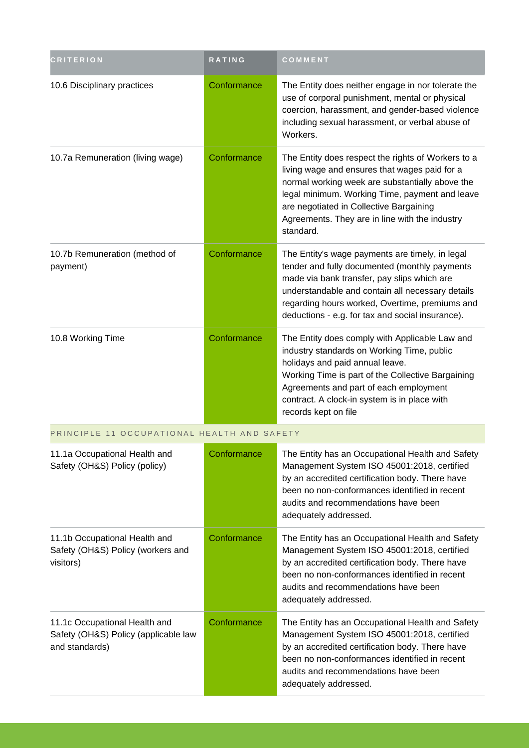| <b>CRITERION</b>                                                                        | RATING      | COMMENT                                                                                                                                                                                                                                                                                                            |
|-----------------------------------------------------------------------------------------|-------------|--------------------------------------------------------------------------------------------------------------------------------------------------------------------------------------------------------------------------------------------------------------------------------------------------------------------|
| 10.6 Disciplinary practices                                                             | Conformance | The Entity does neither engage in nor tolerate the<br>use of corporal punishment, mental or physical<br>coercion, harassment, and gender-based violence<br>including sexual harassment, or verbal abuse of<br>Workers.                                                                                             |
| 10.7a Remuneration (living wage)                                                        | Conformance | The Entity does respect the rights of Workers to a<br>living wage and ensures that wages paid for a<br>normal working week are substantially above the<br>legal minimum. Working Time, payment and leave<br>are negotiated in Collective Bargaining<br>Agreements. They are in line with the industry<br>standard. |
| 10.7b Remuneration (method of<br>payment)                                               | Conformance | The Entity's wage payments are timely, in legal<br>tender and fully documented (monthly payments<br>made via bank transfer, pay slips which are<br>understandable and contain all necessary details<br>regarding hours worked, Overtime, premiums and<br>deductions - e.g. for tax and social insurance).          |
| 10.8 Working Time                                                                       | Conformance | The Entity does comply with Applicable Law and<br>industry standards on Working Time, public<br>holidays and paid annual leave.<br>Working Time is part of the Collective Bargaining<br>Agreements and part of each employment<br>contract. A clock-in system is in place with<br>records kept on file             |
| PRINCIPLE 11 OCCUPATIONAL HEALTH AND SAFETY                                             |             |                                                                                                                                                                                                                                                                                                                    |
| 11.1a Occupational Health and<br>Safety (OH&S) Policy (policy)                          | Conformance | The Entity has an Occupational Health and Safety<br>Management System ISO 45001:2018, certified<br>by an accredited certification body. There have<br>been no non-conformances identified in recent<br>audits and recommendations have been<br>adequately addressed.                                               |
| 11.1b Occupational Health and<br>Safety (OH&S) Policy (workers and<br>visitors)         | Conformance | The Entity has an Occupational Health and Safety<br>Management System ISO 45001:2018, certified<br>by an accredited certification body. There have<br>been no non-conformances identified in recent<br>audits and recommendations have been<br>adequately addressed.                                               |
| 11.1c Occupational Health and<br>Safety (OH&S) Policy (applicable law<br>and standards) | Conformance | The Entity has an Occupational Health and Safety<br>Management System ISO 45001:2018, certified<br>by an accredited certification body. There have<br>been no non-conformances identified in recent<br>audits and recommendations have been<br>adequately addressed.                                               |